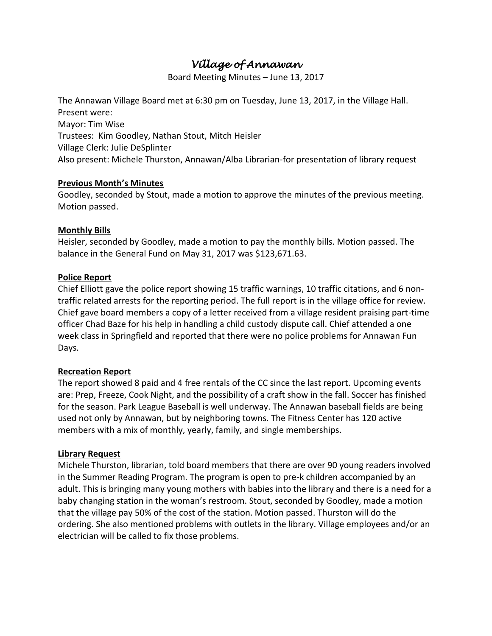# *Village of Annawan*

Board Meeting Minutes – June 13, 2017

The Annawan Village Board met at 6:30 pm on Tuesday, June 13, 2017, in the Village Hall. Present were: Mayor: Tim Wise Trustees: Kim Goodley, Nathan Stout, Mitch Heisler Village Clerk: Julie DeSplinter Also present: Michele Thurston, Annawan/Alba Librarian-for presentation of library request

## **Previous Month's Minutes**

Goodley, seconded by Stout, made a motion to approve the minutes of the previous meeting. Motion passed.

### **Monthly Bills**

Heisler, seconded by Goodley, made a motion to pay the monthly bills. Motion passed. The balance in the General Fund on May 31, 2017 was \$123,671.63.

### **Police Report**

Chief Elliott gave the police report showing 15 traffic warnings, 10 traffic citations, and 6 nontraffic related arrests for the reporting period. The full report is in the village office for review. Chief gave board members a copy of a letter received from a village resident praising part-time officer Chad Baze for his help in handling a child custody dispute call. Chief attended a one week class in Springfield and reported that there were no police problems for Annawan Fun Days.

#### **Recreation Report**

The report showed 8 paid and 4 free rentals of the CC since the last report. Upcoming events are: Prep, Freeze, Cook Night, and the possibility of a craft show in the fall. Soccer has finished for the season. Park League Baseball is well underway. The Annawan baseball fields are being used not only by Annawan, but by neighboring towns. The Fitness Center has 120 active members with a mix of monthly, yearly, family, and single memberships.

#### **Library Request**

Michele Thurston, librarian, told board members that there are over 90 young readers involved in the Summer Reading Program. The program is open to pre-k children accompanied by an adult. This is bringing many young mothers with babies into the library and there is a need for a baby changing station in the woman's restroom. Stout, seconded by Goodley, made a motion that the village pay 50% of the cost of the station. Motion passed. Thurston will do the ordering. She also mentioned problems with outlets in the library. Village employees and/or an electrician will be called to fix those problems.